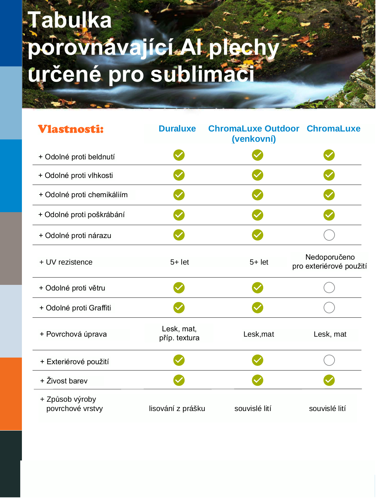## Tabulka porovnávající. Al plechy

| Vlastnosti:                         | <b>Duraluxe</b>             | <b>ChromaLuxe Outdoor ChromaLuxe</b><br>(venkovní) |                                         |
|-------------------------------------|-----------------------------|----------------------------------------------------|-----------------------------------------|
| + Odolné proti beldnutí             |                             |                                                    |                                         |
| + Odolné proti vlhkosti             |                             |                                                    |                                         |
| + Odolné proti chemikáliím          |                             |                                                    |                                         |
| + Odolné proti poškrábání           |                             |                                                    |                                         |
| + Odolné proti nárazu               |                             |                                                    |                                         |
| + UV rezistence                     | $5 + let$                   | $5+$ let                                           | Nedoporučeno<br>pro exteriérové použití |
| + Odolné proti větru                |                             |                                                    |                                         |
| + Odolné proti Graffiti             |                             |                                                    |                                         |
| + Povrchová úprava                  | Lesk, mat,<br>příp. textura | Lesk, mat                                          | Lesk, mat                               |
| + Exteriérové použití               |                             |                                                    |                                         |
| + Živost barev                      |                             |                                                    |                                         |
| + Způsob výroby<br>povrchové vrstvy | lisování z prášku           | souvislé lití                                      | souvislé lití                           |